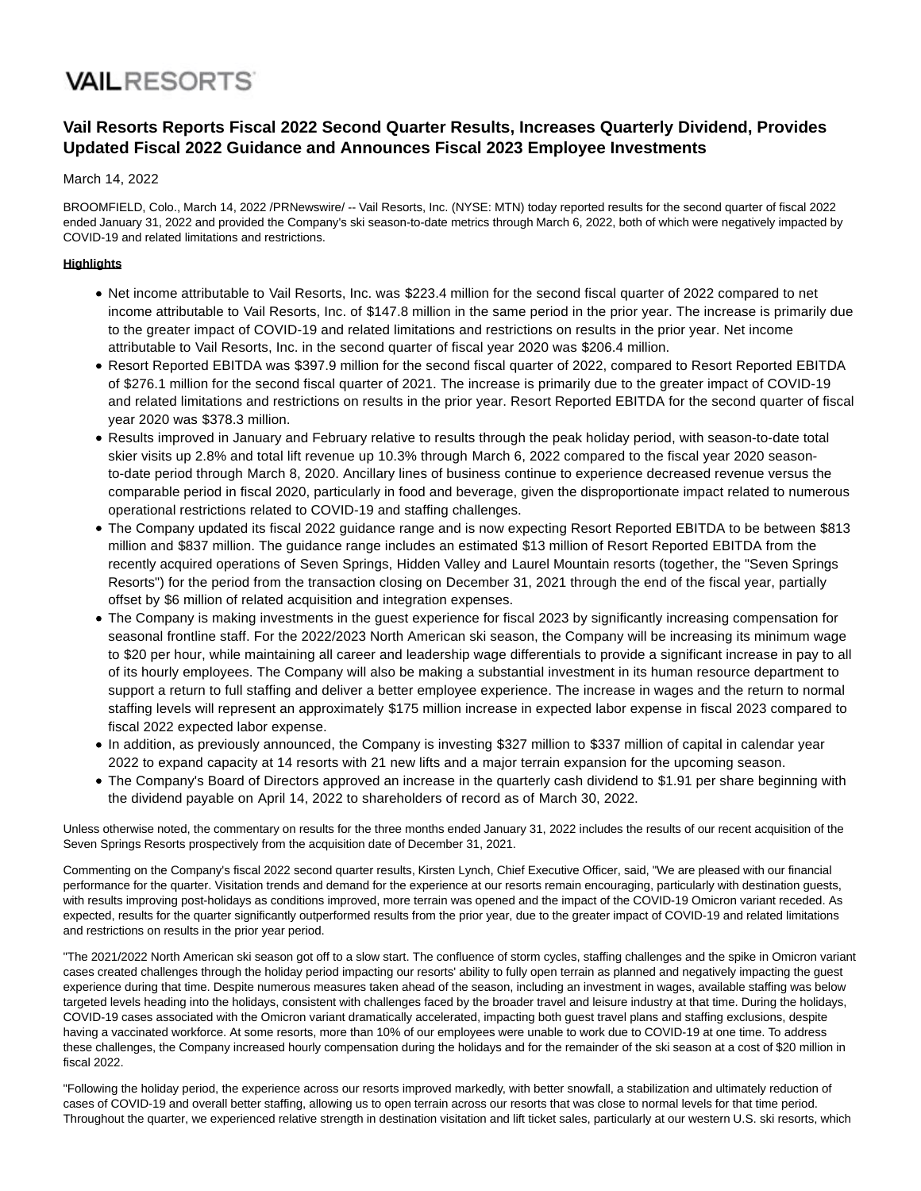## **VAILRESORTS**

### **Vail Resorts Reports Fiscal 2022 Second Quarter Results, Increases Quarterly Dividend, Provides Updated Fiscal 2022 Guidance and Announces Fiscal 2023 Employee Investments**

#### March 14, 2022

BROOMFIELD, Colo., March 14, 2022 /PRNewswire/ -- Vail Resorts, Inc. (NYSE: MTN) today reported results for the second quarter of fiscal 2022 ended January 31, 2022 and provided the Company's ski season-to-date metrics through March 6, 2022, both of which were negatively impacted by COVID-19 and related limitations and restrictions.

#### **Highlights**

- Net income attributable to Vail Resorts, Inc. was \$223.4 million for the second fiscal quarter of 2022 compared to net income attributable to Vail Resorts, Inc. of \$147.8 million in the same period in the prior year. The increase is primarily due to the greater impact of COVID-19 and related limitations and restrictions on results in the prior year. Net income attributable to Vail Resorts, Inc. in the second quarter of fiscal year 2020 was \$206.4 million.
- Resort Reported EBITDA was \$397.9 million for the second fiscal quarter of 2022, compared to Resort Reported EBITDA of \$276.1 million for the second fiscal quarter of 2021. The increase is primarily due to the greater impact of COVID-19 and related limitations and restrictions on results in the prior year. Resort Reported EBITDA for the second quarter of fiscal year 2020 was \$378.3 million.
- Results improved in January and February relative to results through the peak holiday period, with season-to-date total skier visits up 2.8% and total lift revenue up 10.3% through March 6, 2022 compared to the fiscal year 2020 seasonto-date period through March 8, 2020. Ancillary lines of business continue to experience decreased revenue versus the comparable period in fiscal 2020, particularly in food and beverage, given the disproportionate impact related to numerous operational restrictions related to COVID-19 and staffing challenges.
- The Company updated its fiscal 2022 guidance range and is now expecting Resort Reported EBITDA to be between \$813 million and \$837 million. The guidance range includes an estimated \$13 million of Resort Reported EBITDA from the recently acquired operations of Seven Springs, Hidden Valley and Laurel Mountain resorts (together, the "Seven Springs Resorts") for the period from the transaction closing on December 31, 2021 through the end of the fiscal year, partially offset by \$6 million of related acquisition and integration expenses.
- The Company is making investments in the guest experience for fiscal 2023 by significantly increasing compensation for seasonal frontline staff. For the 2022/2023 North American ski season, the Company will be increasing its minimum wage to \$20 per hour, while maintaining all career and leadership wage differentials to provide a significant increase in pay to all of its hourly employees. The Company will also be making a substantial investment in its human resource department to support a return to full staffing and deliver a better employee experience. The increase in wages and the return to normal staffing levels will represent an approximately \$175 million increase in expected labor expense in fiscal 2023 compared to fiscal 2022 expected labor expense.
- In addition, as previously announced, the Company is investing \$327 million to \$337 million of capital in calendar year 2022 to expand capacity at 14 resorts with 21 new lifts and a major terrain expansion for the upcoming season.
- The Company's Board of Directors approved an increase in the quarterly cash dividend to \$1.91 per share beginning with the dividend payable on April 14, 2022 to shareholders of record as of March 30, 2022.

Unless otherwise noted, the commentary on results for the three months ended January 31, 2022 includes the results of our recent acquisition of the Seven Springs Resorts prospectively from the acquisition date of December 31, 2021.

Commenting on the Company's fiscal 2022 second quarter results, Kirsten Lynch, Chief Executive Officer, said, "We are pleased with our financial performance for the quarter. Visitation trends and demand for the experience at our resorts remain encouraging, particularly with destination guests, with results improving post-holidays as conditions improved, more terrain was opened and the impact of the COVID-19 Omicron variant receded. As expected, results for the quarter significantly outperformed results from the prior year, due to the greater impact of COVID-19 and related limitations and restrictions on results in the prior year period.

"The 2021/2022 North American ski season got off to a slow start. The confluence of storm cycles, staffing challenges and the spike in Omicron variant cases created challenges through the holiday period impacting our resorts' ability to fully open terrain as planned and negatively impacting the guest experience during that time. Despite numerous measures taken ahead of the season, including an investment in wages, available staffing was below targeted levels heading into the holidays, consistent with challenges faced by the broader travel and leisure industry at that time. During the holidays, COVID-19 cases associated with the Omicron variant dramatically accelerated, impacting both guest travel plans and staffing exclusions, despite having a vaccinated workforce. At some resorts, more than 10% of our employees were unable to work due to COVID-19 at one time. To address these challenges, the Company increased hourly compensation during the holidays and for the remainder of the ski season at a cost of \$20 million in fiscal 2022.

"Following the holiday period, the experience across our resorts improved markedly, with better snowfall, a stabilization and ultimately reduction of cases of COVID-19 and overall better staffing, allowing us to open terrain across our resorts that was close to normal levels for that time period. Throughout the quarter, we experienced relative strength in destination visitation and lift ticket sales, particularly at our western U.S. ski resorts, which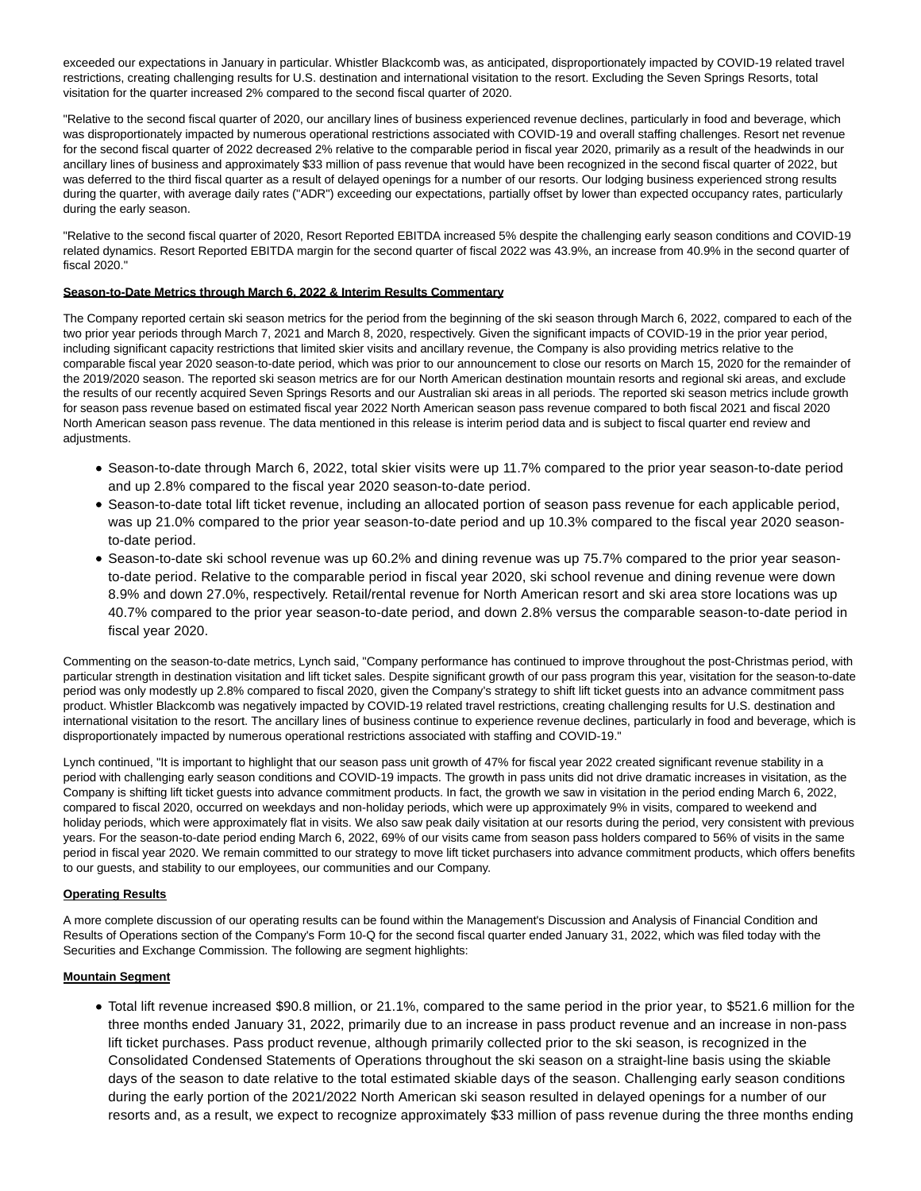exceeded our expectations in January in particular. Whistler Blackcomb was, as anticipated, disproportionately impacted by COVID-19 related travel restrictions, creating challenging results for U.S. destination and international visitation to the resort. Excluding the Seven Springs Resorts, total visitation for the quarter increased 2% compared to the second fiscal quarter of 2020.

"Relative to the second fiscal quarter of 2020, our ancillary lines of business experienced revenue declines, particularly in food and beverage, which was disproportionately impacted by numerous operational restrictions associated with COVID-19 and overall staffing challenges. Resort net revenue for the second fiscal quarter of 2022 decreased 2% relative to the comparable period in fiscal year 2020, primarily as a result of the headwinds in our ancillary lines of business and approximately \$33 million of pass revenue that would have been recognized in the second fiscal quarter of 2022, but was deferred to the third fiscal quarter as a result of delayed openings for a number of our resorts. Our lodging business experienced strong results during the quarter, with average daily rates ("ADR") exceeding our expectations, partially offset by lower than expected occupancy rates, particularly during the early season.

"Relative to the second fiscal quarter of 2020, Resort Reported EBITDA increased 5% despite the challenging early season conditions and COVID-19 related dynamics. Resort Reported EBITDA margin for the second quarter of fiscal 2022 was 43.9%, an increase from 40.9% in the second quarter of fiscal 2020."

#### **Season-to-Date Metrics through March 6, 2022 & Interim Results Commentary**

The Company reported certain ski season metrics for the period from the beginning of the ski season through March 6, 2022, compared to each of the two prior year periods through March 7, 2021 and March 8, 2020, respectively. Given the significant impacts of COVID-19 in the prior year period, including significant capacity restrictions that limited skier visits and ancillary revenue, the Company is also providing metrics relative to the comparable fiscal year 2020 season-to-date period, which was prior to our announcement to close our resorts on March 15, 2020 for the remainder of the 2019/2020 season. The reported ski season metrics are for our North American destination mountain resorts and regional ski areas, and exclude the results of our recently acquired Seven Springs Resorts and our Australian ski areas in all periods. The reported ski season metrics include growth for season pass revenue based on estimated fiscal year 2022 North American season pass revenue compared to both fiscal 2021 and fiscal 2020 North American season pass revenue. The data mentioned in this release is interim period data and is subject to fiscal quarter end review and adjustments.

- Season-to-date through March 6, 2022, total skier visits were up 11.7% compared to the prior year season-to-date period and up 2.8% compared to the fiscal year 2020 season-to-date period.
- Season-to-date total lift ticket revenue, including an allocated portion of season pass revenue for each applicable period, was up 21.0% compared to the prior year season-to-date period and up 10.3% compared to the fiscal year 2020 seasonto-date period.
- Season-to-date ski school revenue was up 60.2% and dining revenue was up 75.7% compared to the prior year seasonto-date period. Relative to the comparable period in fiscal year 2020, ski school revenue and dining revenue were down 8.9% and down 27.0%, respectively. Retail/rental revenue for North American resort and ski area store locations was up 40.7% compared to the prior year season-to-date period, and down 2.8% versus the comparable season-to-date period in fiscal year 2020.

Commenting on the season-to-date metrics, Lynch said, "Company performance has continued to improve throughout the post-Christmas period, with particular strength in destination visitation and lift ticket sales. Despite significant growth of our pass program this year, visitation for the season-to-date period was only modestly up 2.8% compared to fiscal 2020, given the Company's strategy to shift lift ticket guests into an advance commitment pass product. Whistler Blackcomb was negatively impacted by COVID-19 related travel restrictions, creating challenging results for U.S. destination and international visitation to the resort. The ancillary lines of business continue to experience revenue declines, particularly in food and beverage, which is disproportionately impacted by numerous operational restrictions associated with staffing and COVID-19."

Lynch continued, "It is important to highlight that our season pass unit growth of 47% for fiscal year 2022 created significant revenue stability in a period with challenging early season conditions and COVID-19 impacts. The growth in pass units did not drive dramatic increases in visitation, as the Company is shifting lift ticket guests into advance commitment products. In fact, the growth we saw in visitation in the period ending March 6, 2022, compared to fiscal 2020, occurred on weekdays and non-holiday periods, which were up approximately 9% in visits, compared to weekend and holiday periods, which were approximately flat in visits. We also saw peak daily visitation at our resorts during the period, very consistent with previous years. For the season-to-date period ending March 6, 2022, 69% of our visits came from season pass holders compared to 56% of visits in the same period in fiscal year 2020. We remain committed to our strategy to move lift ticket purchasers into advance commitment products, which offers benefits to our guests, and stability to our employees, our communities and our Company.

#### **Operating Results**

A more complete discussion of our operating results can be found within the Management's Discussion and Analysis of Financial Condition and Results of Operations section of the Company's Form 10-Q for the second fiscal quarter ended January 31, 2022, which was filed today with the Securities and Exchange Commission. The following are segment highlights:

#### **Mountain Segment**

Total lift revenue increased \$90.8 million, or 21.1%, compared to the same period in the prior year, to \$521.6 million for the three months ended January 31, 2022, primarily due to an increase in pass product revenue and an increase in non-pass lift ticket purchases. Pass product revenue, although primarily collected prior to the ski season, is recognized in the Consolidated Condensed Statements of Operations throughout the ski season on a straight-line basis using the skiable days of the season to date relative to the total estimated skiable days of the season. Challenging early season conditions during the early portion of the 2021/2022 North American ski season resulted in delayed openings for a number of our resorts and, as a result, we expect to recognize approximately \$33 million of pass revenue during the three months ending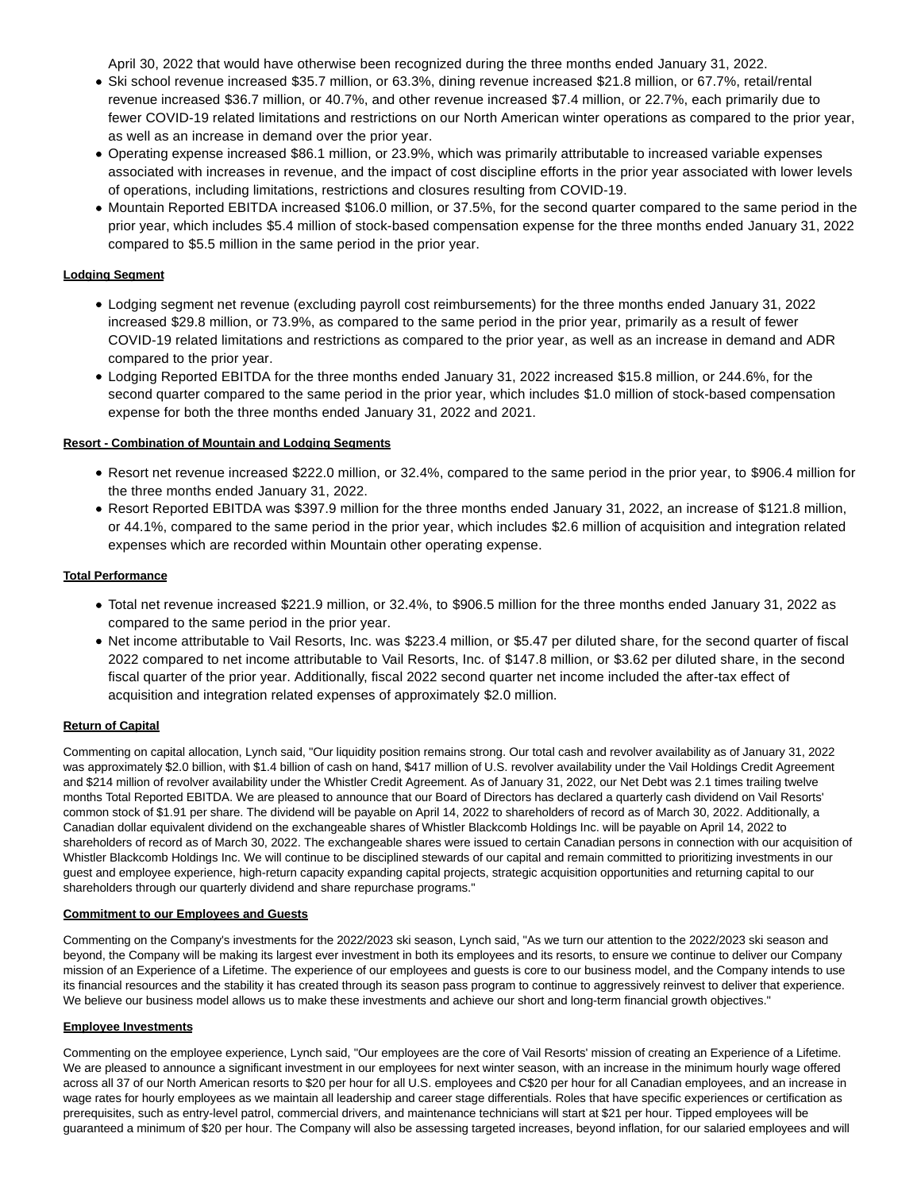April 30, 2022 that would have otherwise been recognized during the three months ended January 31, 2022.

- Ski school revenue increased \$35.7 million, or 63.3%, dining revenue increased \$21.8 million, or 67.7%, retail/rental revenue increased \$36.7 million, or 40.7%, and other revenue increased \$7.4 million, or 22.7%, each primarily due to fewer COVID-19 related limitations and restrictions on our North American winter operations as compared to the prior year, as well as an increase in demand over the prior year.
- Operating expense increased \$86.1 million, or 23.9%, which was primarily attributable to increased variable expenses associated with increases in revenue, and the impact of cost discipline efforts in the prior year associated with lower levels of operations, including limitations, restrictions and closures resulting from COVID-19.
- Mountain Reported EBITDA increased \$106.0 million, or 37.5%, for the second quarter compared to the same period in the prior year, which includes \$5.4 million of stock-based compensation expense for the three months ended January 31, 2022 compared to \$5.5 million in the same period in the prior year.

#### **Lodging Segment**

- Lodging segment net revenue (excluding payroll cost reimbursements) for the three months ended January 31, 2022 increased \$29.8 million, or 73.9%, as compared to the same period in the prior year, primarily as a result of fewer COVID-19 related limitations and restrictions as compared to the prior year, as well as an increase in demand and ADR compared to the prior year.
- Lodging Reported EBITDA for the three months ended January 31, 2022 increased \$15.8 million, or 244.6%, for the second quarter compared to the same period in the prior year, which includes \$1.0 million of stock-based compensation expense for both the three months ended January 31, 2022 and 2021.

#### **Resort - Combination of Mountain and Lodging Segments**

- Resort net revenue increased \$222.0 million, or 32.4%, compared to the same period in the prior year, to \$906.4 million for the three months ended January 31, 2022.
- Resort Reported EBITDA was \$397.9 million for the three months ended January 31, 2022, an increase of \$121.8 million, or 44.1%, compared to the same period in the prior year, which includes \$2.6 million of acquisition and integration related expenses which are recorded within Mountain other operating expense.

#### **Total Performance**

- Total net revenue increased \$221.9 million, or 32.4%, to \$906.5 million for the three months ended January 31, 2022 as compared to the same period in the prior year.
- Net income attributable to Vail Resorts, Inc. was \$223.4 million, or \$5.47 per diluted share, for the second quarter of fiscal 2022 compared to net income attributable to Vail Resorts, Inc. of \$147.8 million, or \$3.62 per diluted share, in the second fiscal quarter of the prior year. Additionally, fiscal 2022 second quarter net income included the after-tax effect of acquisition and integration related expenses of approximately \$2.0 million.

#### **Return of Capital**

Commenting on capital allocation, Lynch said, "Our liquidity position remains strong. Our total cash and revolver availability as of January 31, 2022 was approximately \$2.0 billion, with \$1.4 billion of cash on hand, \$417 million of U.S. revolver availability under the Vail Holdings Credit Agreement and \$214 million of revolver availability under the Whistler Credit Agreement. As of January 31, 2022, our Net Debt was 2.1 times trailing twelve months Total Reported EBITDA. We are pleased to announce that our Board of Directors has declared a quarterly cash dividend on Vail Resorts' common stock of \$1.91 per share. The dividend will be payable on April 14, 2022 to shareholders of record as of March 30, 2022. Additionally, a Canadian dollar equivalent dividend on the exchangeable shares of Whistler Blackcomb Holdings Inc. will be payable on April 14, 2022 to shareholders of record as of March 30, 2022. The exchangeable shares were issued to certain Canadian persons in connection with our acquisition of Whistler Blackcomb Holdings Inc. We will continue to be disciplined stewards of our capital and remain committed to prioritizing investments in our guest and employee experience, high-return capacity expanding capital projects, strategic acquisition opportunities and returning capital to our shareholders through our quarterly dividend and share repurchase programs."

#### **Commitment to our Employees and Guests**

Commenting on the Company's investments for the 2022/2023 ski season, Lynch said, "As we turn our attention to the 2022/2023 ski season and beyond, the Company will be making its largest ever investment in both its employees and its resorts, to ensure we continue to deliver our Company mission of an Experience of a Lifetime. The experience of our employees and guests is core to our business model, and the Company intends to use its financial resources and the stability it has created through its season pass program to continue to aggressively reinvest to deliver that experience. We believe our business model allows us to make these investments and achieve our short and long-term financial growth objectives."

#### **Employee Investments**

Commenting on the employee experience, Lynch said, "Our employees are the core of Vail Resorts' mission of creating an Experience of a Lifetime. We are pleased to announce a significant investment in our employees for next winter season, with an increase in the minimum hourly wage offered across all 37 of our North American resorts to \$20 per hour for all U.S. employees and C\$20 per hour for all Canadian employees, and an increase in wage rates for hourly employees as we maintain all leadership and career stage differentials. Roles that have specific experiences or certification as prerequisites, such as entry-level patrol, commercial drivers, and maintenance technicians will start at \$21 per hour. Tipped employees will be guaranteed a minimum of \$20 per hour. The Company will also be assessing targeted increases, beyond inflation, for our salaried employees and will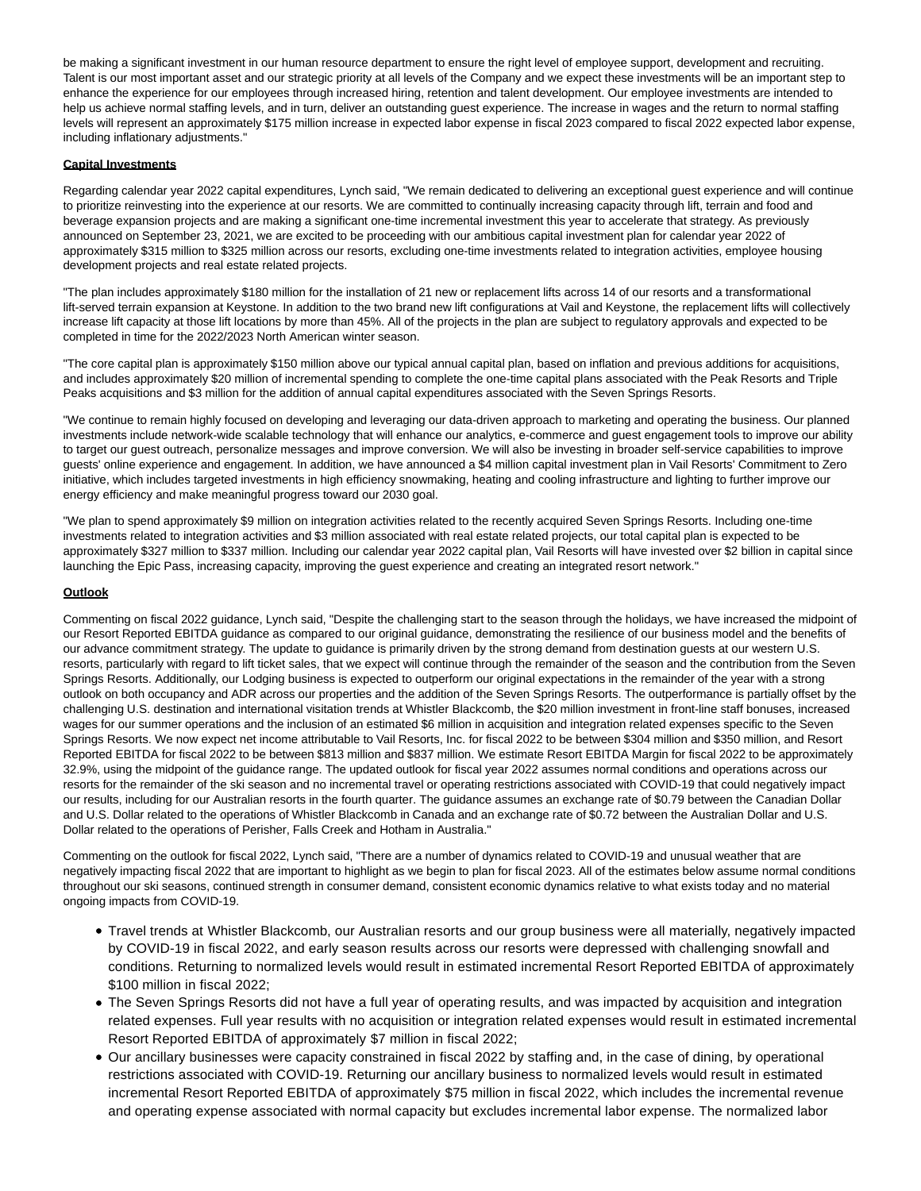be making a significant investment in our human resource department to ensure the right level of employee support, development and recruiting. Talent is our most important asset and our strategic priority at all levels of the Company and we expect these investments will be an important step to enhance the experience for our employees through increased hiring, retention and talent development. Our employee investments are intended to help us achieve normal staffing levels, and in turn, deliver an outstanding guest experience. The increase in wages and the return to normal staffing levels will represent an approximately \$175 million increase in expected labor expense in fiscal 2023 compared to fiscal 2022 expected labor expense, including inflationary adjustments."

#### **Capital Investments**

Regarding calendar year 2022 capital expenditures, Lynch said, "We remain dedicated to delivering an exceptional guest experience and will continue to prioritize reinvesting into the experience at our resorts. We are committed to continually increasing capacity through lift, terrain and food and beverage expansion projects and are making a significant one-time incremental investment this year to accelerate that strategy. As previously announced on September 23, 2021, we are excited to be proceeding with our ambitious capital investment plan for calendar year 2022 of approximately \$315 million to \$325 million across our resorts, excluding one-time investments related to integration activities, employee housing development projects and real estate related projects.

"The plan includes approximately \$180 million for the installation of 21 new or replacement lifts across 14 of our resorts and a transformational lift-served terrain expansion at Keystone. In addition to the two brand new lift configurations at Vail and Keystone, the replacement lifts will collectively increase lift capacity at those lift locations by more than 45%. All of the projects in the plan are subject to regulatory approvals and expected to be completed in time for the 2022/2023 North American winter season.

"The core capital plan is approximately \$150 million above our typical annual capital plan, based on inflation and previous additions for acquisitions, and includes approximately \$20 million of incremental spending to complete the one-time capital plans associated with the Peak Resorts and Triple Peaks acquisitions and \$3 million for the addition of annual capital expenditures associated with the Seven Springs Resorts.

"We continue to remain highly focused on developing and leveraging our data-driven approach to marketing and operating the business. Our planned investments include network-wide scalable technology that will enhance our analytics, e-commerce and guest engagement tools to improve our ability to target our guest outreach, personalize messages and improve conversion. We will also be investing in broader self-service capabilities to improve guests' online experience and engagement. In addition, we have announced a \$4 million capital investment plan in Vail Resorts' Commitment to Zero initiative, which includes targeted investments in high efficiency snowmaking, heating and cooling infrastructure and lighting to further improve our energy efficiency and make meaningful progress toward our 2030 goal.

"We plan to spend approximately \$9 million on integration activities related to the recently acquired Seven Springs Resorts. Including one-time investments related to integration activities and \$3 million associated with real estate related projects, our total capital plan is expected to be approximately \$327 million to \$337 million. Including our calendar year 2022 capital plan, Vail Resorts will have invested over \$2 billion in capital since launching the Epic Pass, increasing capacity, improving the guest experience and creating an integrated resort network."

#### **Outlook**

Commenting on fiscal 2022 guidance, Lynch said, "Despite the challenging start to the season through the holidays, we have increased the midpoint of our Resort Reported EBITDA guidance as compared to our original guidance, demonstrating the resilience of our business model and the benefits of our advance commitment strategy. The update to guidance is primarily driven by the strong demand from destination guests at our western U.S. resorts, particularly with regard to lift ticket sales, that we expect will continue through the remainder of the season and the contribution from the Seven Springs Resorts. Additionally, our Lodging business is expected to outperform our original expectations in the remainder of the year with a strong outlook on both occupancy and ADR across our properties and the addition of the Seven Springs Resorts. The outperformance is partially offset by the challenging U.S. destination and international visitation trends at Whistler Blackcomb, the \$20 million investment in front-line staff bonuses, increased wages for our summer operations and the inclusion of an estimated \$6 million in acquisition and integration related expenses specific to the Seven Springs Resorts. We now expect net income attributable to Vail Resorts, Inc. for fiscal 2022 to be between \$304 million and \$350 million, and Resort Reported EBITDA for fiscal 2022 to be between \$813 million and \$837 million. We estimate Resort EBITDA Margin for fiscal 2022 to be approximately 32.9%, using the midpoint of the guidance range. The updated outlook for fiscal year 2022 assumes normal conditions and operations across our resorts for the remainder of the ski season and no incremental travel or operating restrictions associated with COVID-19 that could negatively impact our results, including for our Australian resorts in the fourth quarter. The guidance assumes an exchange rate of \$0.79 between the Canadian Dollar and U.S. Dollar related to the operations of Whistler Blackcomb in Canada and an exchange rate of \$0.72 between the Australian Dollar and U.S. Dollar related to the operations of Perisher, Falls Creek and Hotham in Australia."

Commenting on the outlook for fiscal 2022, Lynch said, "There are a number of dynamics related to COVID-19 and unusual weather that are negatively impacting fiscal 2022 that are important to highlight as we begin to plan for fiscal 2023. All of the estimates below assume normal conditions throughout our ski seasons, continued strength in consumer demand, consistent economic dynamics relative to what exists today and no material ongoing impacts from COVID-19.

- Travel trends at Whistler Blackcomb, our Australian resorts and our group business were all materially, negatively impacted by COVID-19 in fiscal 2022, and early season results across our resorts were depressed with challenging snowfall and conditions. Returning to normalized levels would result in estimated incremental Resort Reported EBITDA of approximately \$100 million in fiscal 2022;
- The Seven Springs Resorts did not have a full year of operating results, and was impacted by acquisition and integration related expenses. Full year results with no acquisition or integration related expenses would result in estimated incremental Resort Reported EBITDA of approximately \$7 million in fiscal 2022;
- Our ancillary businesses were capacity constrained in fiscal 2022 by staffing and, in the case of dining, by operational restrictions associated with COVID-19. Returning our ancillary business to normalized levels would result in estimated incremental Resort Reported EBITDA of approximately \$75 million in fiscal 2022, which includes the incremental revenue and operating expense associated with normal capacity but excludes incremental labor expense. The normalized labor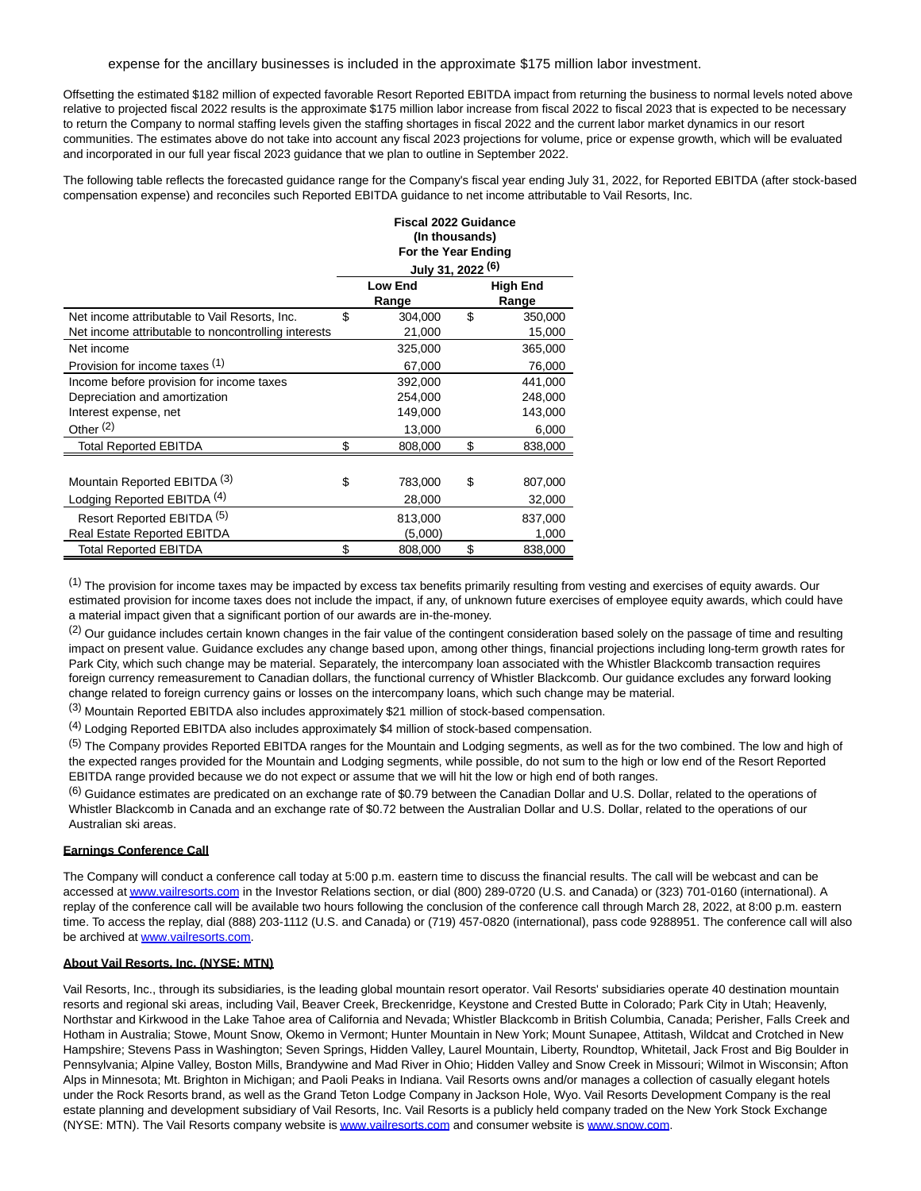#### expense for the ancillary businesses is included in the approximate \$175 million labor investment.

Offsetting the estimated \$182 million of expected favorable Resort Reported EBITDA impact from returning the business to normal levels noted above relative to projected fiscal 2022 results is the approximate \$175 million labor increase from fiscal 2022 to fiscal 2023 that is expected to be necessary to return the Company to normal staffing levels given the staffing shortages in fiscal 2022 and the current labor market dynamics in our resort communities. The estimates above do not take into account any fiscal 2023 projections for volume, price or expense growth, which will be evaluated and incorporated in our full year fiscal 2023 guidance that we plan to outline in September 2022.

The following table reflects the forecasted guidance range for the Company's fiscal year ending July 31, 2022, for Reported EBITDA (after stock-based compensation expense) and reconciles such Reported EBITDA guidance to net income attributable to Vail Resorts, Inc. **Fiscal 2022 Guidance**

|                                                     | Fiscal 2022 Guidance |                              |    |                 |  |  |
|-----------------------------------------------------|----------------------|------------------------------|----|-----------------|--|--|
|                                                     |                      | (In thousands)               |    |                 |  |  |
|                                                     |                      | For the Year Ending          |    |                 |  |  |
|                                                     |                      | July 31, 2022 <sup>(6)</sup> |    |                 |  |  |
|                                                     |                      | <b>Low End</b>               |    | <b>High End</b> |  |  |
|                                                     |                      | Range                        |    | Range           |  |  |
| Net income attributable to Vail Resorts, Inc.       | \$                   | 304,000                      | \$ | 350,000         |  |  |
| Net income attributable to noncontrolling interests |                      | 21,000                       |    | 15,000          |  |  |
| Net income                                          |                      | 325,000                      |    | 365,000         |  |  |
| Provision for income taxes (1)                      |                      | 67,000                       |    | 76,000          |  |  |
| Income before provision for income taxes            |                      | 392,000                      |    | 441,000         |  |  |
| Depreciation and amortization                       |                      | 254,000                      |    | 248,000         |  |  |
| Interest expense, net                               |                      | 149,000                      |    | 143,000         |  |  |
| Other $(2)$                                         |                      | 13,000                       |    | 6,000           |  |  |
| <b>Total Reported EBITDA</b>                        | \$                   | 808,000                      | \$ | 838,000         |  |  |
|                                                     |                      |                              |    |                 |  |  |
| Mountain Reported EBITDA (3)                        | \$                   | 783,000                      | \$ | 807,000         |  |  |
| Lodging Reported EBITDA <sup>(4)</sup>              |                      | 28,000                       |    | 32,000          |  |  |
| Resort Reported EBITDA (5)                          |                      | 813,000                      |    | 837,000         |  |  |
| <b>Real Estate Reported EBITDA</b>                  |                      | (5,000)                      |    | 1,000           |  |  |
| <b>Total Reported EBITDA</b>                        | \$                   | 808,000                      | \$ | 838,000         |  |  |

(1) The provision for income taxes may be impacted by excess tax benefits primarily resulting from vesting and exercises of equity awards. Our estimated provision for income taxes does not include the impact, if any, of unknown future exercises of employee equity awards, which could have a material impact given that a significant portion of our awards are in-the-money.

 $<sup>(2)</sup>$  Our guidance includes certain known changes in the fair value of the contingent consideration based solely on the passage of time and resulting</sup> impact on present value. Guidance excludes any change based upon, among other things, financial projections including long-term growth rates for Park City, which such change may be material. Separately, the intercompany loan associated with the Whistler Blackcomb transaction requires foreign currency remeasurement to Canadian dollars, the functional currency of Whistler Blackcomb. Our guidance excludes any forward looking change related to foreign currency gains or losses on the intercompany loans, which such change may be material.

(3) Mountain Reported EBITDA also includes approximately \$21 million of stock-based compensation.

(4) Lodging Reported EBITDA also includes approximately \$4 million of stock-based compensation.

(5) The Company provides Reported EBITDA ranges for the Mountain and Lodging segments, as well as for the two combined. The low and high of the expected ranges provided for the Mountain and Lodging segments, while possible, do not sum to the high or low end of the Resort Reported EBITDA range provided because we do not expect or assume that we will hit the low or high end of both ranges.

 $(6)$  Guidance estimates are predicated on an exchange rate of \$0.79 between the Canadian Dollar and U.S. Dollar, related to the operations of Whistler Blackcomb in Canada and an exchange rate of \$0.72 between the Australian Dollar and U.S. Dollar, related to the operations of our Australian ski areas.

#### **Earnings Conference Call**

The Company will conduct a conference call today at 5:00 p.m. eastern time to discuss the financial results. The call will be webcast and can be accessed a[t www.vailresorts.com i](http://www.vailresorts.com/)n the Investor Relations section, or dial (800) 289-0720 (U.S. and Canada) or (323) 701-0160 (international). A replay of the conference call will be available two hours following the conclusion of the conference call through March 28, 2022, at 8:00 p.m. eastern time. To access the replay, dial (888) 203-1112 (U.S. and Canada) or (719) 457-0820 (international), pass code 9288951. The conference call will also be archived at [www.vailresorts.com.](http://www.vailresorts.com/)

#### **About Vail Resorts, Inc. (NYSE: MTN)**

Vail Resorts, Inc., through its subsidiaries, is the leading global mountain resort operator. Vail Resorts' subsidiaries operate 40 destination mountain resorts and regional ski areas, including Vail, Beaver Creek, Breckenridge, Keystone and Crested Butte in Colorado; Park City in Utah; Heavenly, Northstar and Kirkwood in the Lake Tahoe area of California and Nevada; Whistler Blackcomb in British Columbia, Canada; Perisher, Falls Creek and Hotham in Australia; Stowe, Mount Snow, Okemo in Vermont; Hunter Mountain in New York; Mount Sunapee, Attitash, Wildcat and Crotched in New Hampshire; Stevens Pass in Washington; Seven Springs, Hidden Valley, Laurel Mountain, Liberty, Roundtop, Whitetail, Jack Frost and Big Boulder in Pennsylvania; Alpine Valley, Boston Mills, Brandywine and Mad River in Ohio; Hidden Valley and Snow Creek in Missouri; Wilmot in Wisconsin; Afton Alps in Minnesota; Mt. Brighton in Michigan; and Paoli Peaks in Indiana. Vail Resorts owns and/or manages a collection of casually elegant hotels under the Rock Resorts brand, as well as the Grand Teton Lodge Company in Jackson Hole, Wyo. Vail Resorts Development Company is the real estate planning and development subsidiary of Vail Resorts, Inc. Vail Resorts is a publicly held company traded on the New York Stock Exchange (NYSE: MTN). The Vail Resorts company website i[s www.vailresorts.com a](http://www.vailresorts.com/)nd consumer website is [www.snow.com.](http://www.snow.com/)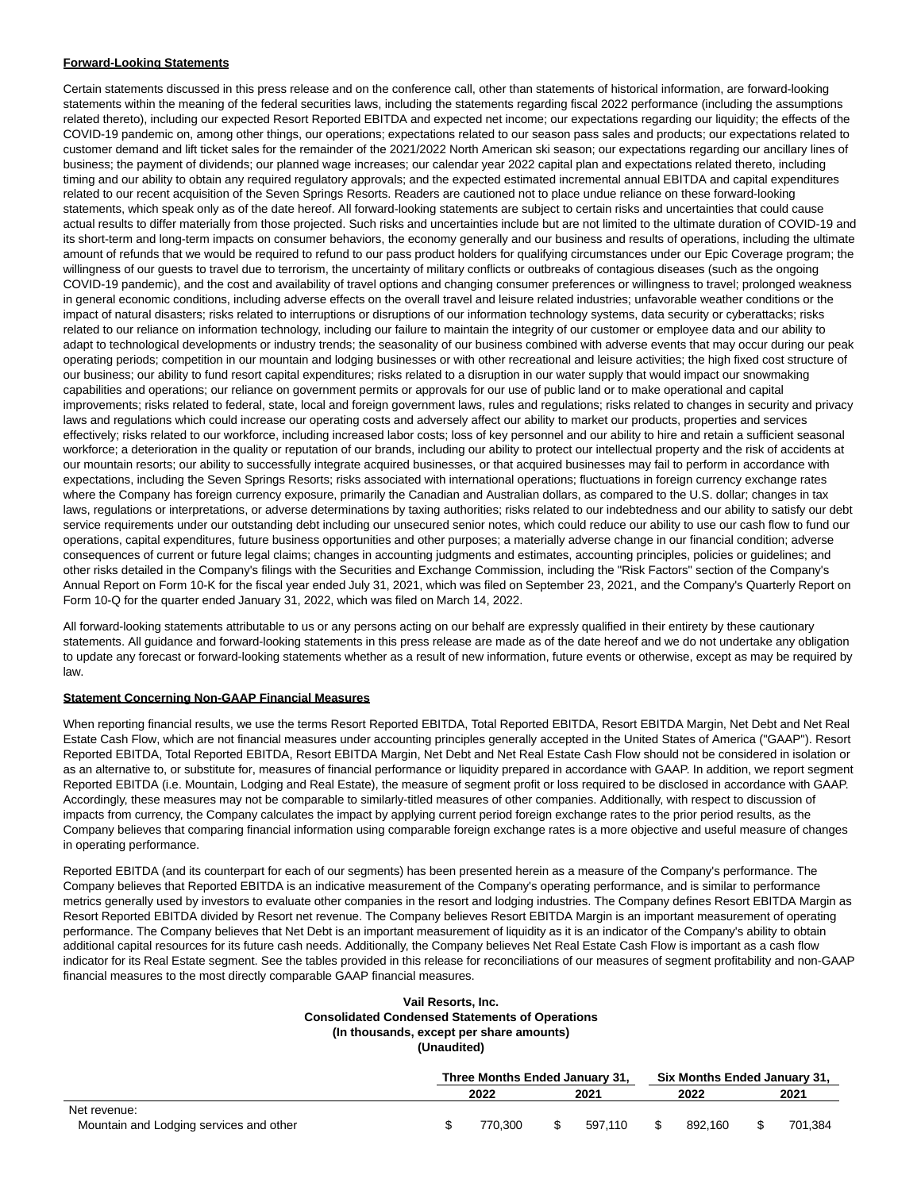#### **Forward-Looking Statements**

Certain statements discussed in this press release and on the conference call, other than statements of historical information, are forward-looking statements within the meaning of the federal securities laws, including the statements regarding fiscal 2022 performance (including the assumptions related thereto), including our expected Resort Reported EBITDA and expected net income; our expectations regarding our liquidity; the effects of the COVID-19 pandemic on, among other things, our operations; expectations related to our season pass sales and products; our expectations related to customer demand and lift ticket sales for the remainder of the 2021/2022 North American ski season; our expectations regarding our ancillary lines of business; the payment of dividends; our planned wage increases; our calendar year 2022 capital plan and expectations related thereto, including timing and our ability to obtain any required regulatory approvals; and the expected estimated incremental annual EBITDA and capital expenditures related to our recent acquisition of the Seven Springs Resorts. Readers are cautioned not to place undue reliance on these forward-looking statements, which speak only as of the date hereof. All forward-looking statements are subject to certain risks and uncertainties that could cause actual results to differ materially from those projected. Such risks and uncertainties include but are not limited to the ultimate duration of COVID-19 and its short-term and long-term impacts on consumer behaviors, the economy generally and our business and results of operations, including the ultimate amount of refunds that we would be required to refund to our pass product holders for qualifying circumstances under our Epic Coverage program; the willingness of our guests to travel due to terrorism, the uncertainty of military conflicts or outbreaks of contagious diseases (such as the ongoing COVID-19 pandemic), and the cost and availability of travel options and changing consumer preferences or willingness to travel; prolonged weakness in general economic conditions, including adverse effects on the overall travel and leisure related industries; unfavorable weather conditions or the impact of natural disasters; risks related to interruptions or disruptions of our information technology systems, data security or cyberattacks; risks related to our reliance on information technology, including our failure to maintain the integrity of our customer or employee data and our ability to adapt to technological developments or industry trends; the seasonality of our business combined with adverse events that may occur during our peak operating periods; competition in our mountain and lodging businesses or with other recreational and leisure activities; the high fixed cost structure of our business; our ability to fund resort capital expenditures; risks related to a disruption in our water supply that would impact our snowmaking capabilities and operations; our reliance on government permits or approvals for our use of public land or to make operational and capital improvements; risks related to federal, state, local and foreign government laws, rules and regulations; risks related to changes in security and privacy laws and regulations which could increase our operating costs and adversely affect our ability to market our products, properties and services effectively; risks related to our workforce, including increased labor costs; loss of key personnel and our ability to hire and retain a sufficient seasonal workforce; a deterioration in the quality or reputation of our brands, including our ability to protect our intellectual property and the risk of accidents at our mountain resorts; our ability to successfully integrate acquired businesses, or that acquired businesses may fail to perform in accordance with expectations, including the Seven Springs Resorts; risks associated with international operations; fluctuations in foreign currency exchange rates where the Company has foreign currency exposure, primarily the Canadian and Australian dollars, as compared to the U.S. dollar; changes in tax laws, regulations or interpretations, or adverse determinations by taxing authorities; risks related to our indebtedness and our ability to satisfy our debt service requirements under our outstanding debt including our unsecured senior notes, which could reduce our ability to use our cash flow to fund our operations, capital expenditures, future business opportunities and other purposes; a materially adverse change in our financial condition; adverse consequences of current or future legal claims; changes in accounting judgments and estimates, accounting principles, policies or guidelines; and other risks detailed in the Company's filings with the Securities and Exchange Commission, including the "Risk Factors" section of the Company's Annual Report on Form 10-K for the fiscal year ended July 31, 2021, which was filed on September 23, 2021, and the Company's Quarterly Report on Form 10-Q for the quarter ended January 31, 2022, which was filed on March 14, 2022.

All forward-looking statements attributable to us or any persons acting on our behalf are expressly qualified in their entirety by these cautionary statements. All guidance and forward-looking statements in this press release are made as of the date hereof and we do not undertake any obligation to update any forecast or forward-looking statements whether as a result of new information, future events or otherwise, except as may be required by law.

#### **Statement Concerning Non-GAAP Financial Measures**

When reporting financial results, we use the terms Resort Reported EBITDA, Total Reported EBITDA, Resort EBITDA Margin, Net Debt and Net Real Estate Cash Flow, which are not financial measures under accounting principles generally accepted in the United States of America ("GAAP"). Resort Reported EBITDA, Total Reported EBITDA, Resort EBITDA Margin, Net Debt and Net Real Estate Cash Flow should not be considered in isolation or as an alternative to, or substitute for, measures of financial performance or liquidity prepared in accordance with GAAP. In addition, we report segment Reported EBITDA (i.e. Mountain, Lodging and Real Estate), the measure of segment profit or loss required to be disclosed in accordance with GAAP. Accordingly, these measures may not be comparable to similarly-titled measures of other companies. Additionally, with respect to discussion of impacts from currency, the Company calculates the impact by applying current period foreign exchange rates to the prior period results, as the Company believes that comparing financial information using comparable foreign exchange rates is a more objective and useful measure of changes in operating performance.

Reported EBITDA (and its counterpart for each of our segments) has been presented herein as a measure of the Company's performance. The Company believes that Reported EBITDA is an indicative measurement of the Company's operating performance, and is similar to performance metrics generally used by investors to evaluate other companies in the resort and lodging industries. The Company defines Resort EBITDA Margin as Resort Reported EBITDA divided by Resort net revenue. The Company believes Resort EBITDA Margin is an important measurement of operating performance. The Company believes that Net Debt is an important measurement of liquidity as it is an indicator of the Company's ability to obtain additional capital resources for its future cash needs. Additionally, the Company believes Net Real Estate Cash Flow is important as a cash flow indicator for its Real Estate segment. See the tables provided in this release for reconciliations of our measures of segment profitability and non-GAAP financial measures to the most directly comparable GAAP financial measures.

#### **Vail Resorts, Inc. Consolidated Condensed Statements of Operations (In thousands, except per share amounts) (Unaudited)**

|                                         | Three Months Ended January 31, |  | <b>Six Months Ended January 31.</b> |  |         |  |         |
|-----------------------------------------|--------------------------------|--|-------------------------------------|--|---------|--|---------|
|                                         | 2022                           |  | 2021                                |  | 2022    |  | 2021    |
| Net revenue:                            |                                |  |                                     |  |         |  |         |
| Mountain and Lodging services and other | 770.300                        |  | 597.110                             |  | 892.160 |  | 701.384 |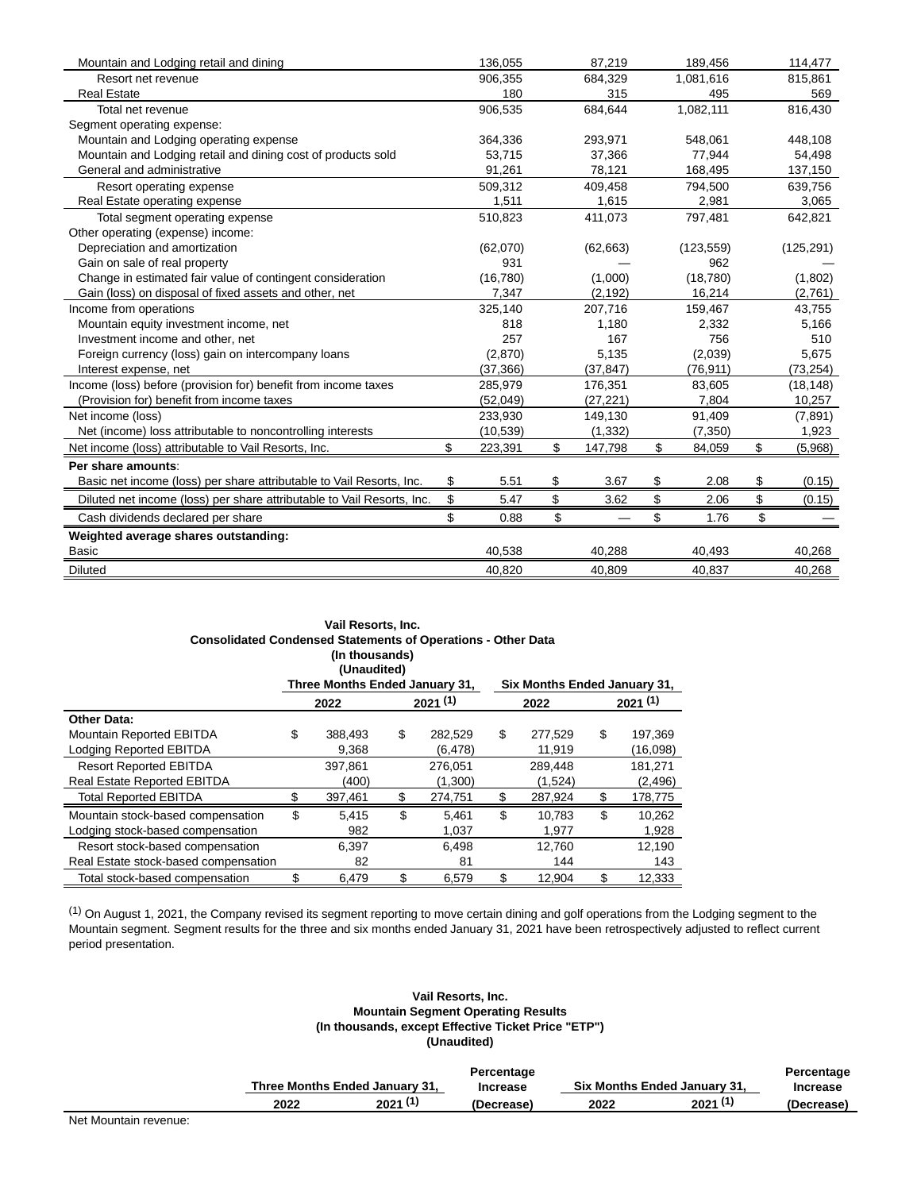| Mountain and Lodging retail and dining                                 | 136,055       | 87,219        | 189,456      | 114,477       |
|------------------------------------------------------------------------|---------------|---------------|--------------|---------------|
| Resort net revenue                                                     | 906,355       | 684,329       | 1,081,616    | 815,861       |
| <b>Real Estate</b>                                                     | 180           | 315           | 495          | 569           |
| Total net revenue                                                      | 906,535       | 684,644       | 1,082,111    | 816,430       |
| Segment operating expense:                                             |               |               |              |               |
| Mountain and Lodging operating expense                                 | 364,336       | 293,971       | 548.061      | 448,108       |
| Mountain and Lodging retail and dining cost of products sold           | 53,715        | 37,366        | 77.944       | 54,498        |
| General and administrative                                             | 91,261        | 78,121        | 168,495      | 137,150       |
| Resort operating expense                                               | 509,312       | 409,458       | 794,500      | 639,756       |
| Real Estate operating expense                                          | 1,511         | 1,615         | 2,981        | 3,065         |
| Total segment operating expense                                        | 510,823       | 411,073       | 797,481      | 642,821       |
| Other operating (expense) income:                                      |               |               |              |               |
| Depreciation and amortization                                          | (62,070)      | (62, 663)     | (123, 559)   | (125, 291)    |
| Gain on sale of real property                                          | 931           |               | 962          |               |
| Change in estimated fair value of contingent consideration             | (16, 780)     | (1,000)       | (18, 780)    | (1,802)       |
| Gain (loss) on disposal of fixed assets and other, net                 | 7,347         | (2, 192)      | 16,214       | (2,761)       |
| Income from operations                                                 | 325,140       | 207,716       | 159,467      | 43,755        |
| Mountain equity investment income, net                                 | 818           | 1,180         | 2,332        | 5,166         |
| Investment income and other, net                                       | 257           | 167           | 756          | 510           |
| Foreign currency (loss) gain on intercompany loans                     | (2,870)       | 5,135         | (2,039)      | 5,675         |
| Interest expense, net                                                  | (37, 366)     | (37, 847)     | (76, 911)    | (73, 254)     |
| Income (loss) before (provision for) benefit from income taxes         | 285,979       | 176,351       | 83,605       | (18, 148)     |
| (Provision for) benefit from income taxes                              | (52, 049)     | (27, 221)     | 7,804        | 10,257        |
| Net income (loss)                                                      | 233,930       | 149,130       | 91,409       | (7,891)       |
| Net (income) loss attributable to noncontrolling interests             | (10, 539)     | (1, 332)      | (7,350)      | 1,923         |
| Net income (loss) attributable to Vail Resorts, Inc.                   | \$<br>223,391 | \$<br>147,798 | \$<br>84,059 | \$<br>(5,968) |
| Per share amounts:                                                     |               |               |              |               |
| Basic net income (loss) per share attributable to Vail Resorts, Inc.   | \$<br>5.51    | \$<br>3.67    | \$<br>2.08   | \$<br>(0.15)  |
| Diluted net income (loss) per share attributable to Vail Resorts, Inc. | \$<br>5.47    | \$<br>3.62    | \$<br>2.06   | \$<br>(0.15)  |
| Cash dividends declared per share                                      | \$<br>0.88    | \$            | \$<br>1.76   | \$            |
| Weighted average shares outstanding:                                   |               |               |              |               |
| <b>Basic</b>                                                           | 40,538        | 40,288        | 40,493       | 40,268        |
| <b>Diluted</b>                                                         | 40,820        | 40,809        | 40,837       | 40,268        |

|                                                                     | Vail Resorts, Inc.                                              |               |                              |         |          |  |
|---------------------------------------------------------------------|-----------------------------------------------------------------|---------------|------------------------------|---------|----------|--|
| <b>Consolidated Condensed Statements of Operations - Other Data</b> | (In thousands)<br>(Unaudited)<br>Three Months Ended January 31, |               | Six Months Ended January 31, |         |          |  |
|                                                                     | 2022                                                            | 2021(1)       | 2022                         | 2021(1) |          |  |
| <b>Other Data:</b>                                                  |                                                                 |               |                              |         |          |  |
| Mountain Reported EBITDA                                            | \$<br>388,493                                                   | \$<br>282,529 | \$<br>277,529                | \$      | 197,369  |  |
| Lodging Reported EBITDA                                             | 9,368                                                           | (6, 478)      | 11,919                       |         | (16,098) |  |
| <b>Resort Reported EBITDA</b>                                       | 397,861                                                         | 276,051       | 289,448                      |         | 181,271  |  |
| <b>Real Estate Reported EBITDA</b>                                  | (400)                                                           | (1,300)       | (1,524)                      |         | (2, 496) |  |
| <b>Total Reported EBITDA</b>                                        | 397,461                                                         | \$<br>274,751 | \$<br>287,924                | \$      | 178,775  |  |
| Mountain stock-based compensation                                   | \$<br>5,415                                                     | \$<br>5,461   | \$<br>10.783                 | \$      | 10,262   |  |
| Lodging stock-based compensation                                    | 982                                                             | 1,037         | 1,977                        |         | 1,928    |  |
| Resort stock-based compensation                                     | 6,397                                                           | 6,498         | 12,760                       |         | 12,190   |  |
| Real Estate stock-based compensation                                | 82                                                              | 81            | 144                          |         | 143      |  |
| Total stock-based compensation                                      | \$<br>6,479                                                     | \$<br>6,579   | \$<br>12,904                 | \$      | 12,333   |  |

 $<sup>(1)</sup>$  On August 1, 2021, the Company revised its segment reporting to move certain dining and golf operations from the Lodging segment to the</sup> Mountain segment. Segment results for the three and six months ended January 31, 2021 have been retrospectively adjusted to reflect current period presentation.

#### **Vail Resorts, Inc. Mountain Segment Operating Results (In thousands, except Effective Ticket Price "ETP") (Unaudited)**

|      |                                | Percentage      |      |                              | Percentage      |
|------|--------------------------------|-----------------|------|------------------------------|-----------------|
|      | Three Months Ended January 31, | <b>Increase</b> |      | Six Months Ended January 31, | <b>Increase</b> |
| 2022 | 2021(1)                        | (Decrease)      | 2022 | 2021(1)                      | (Decrease)      |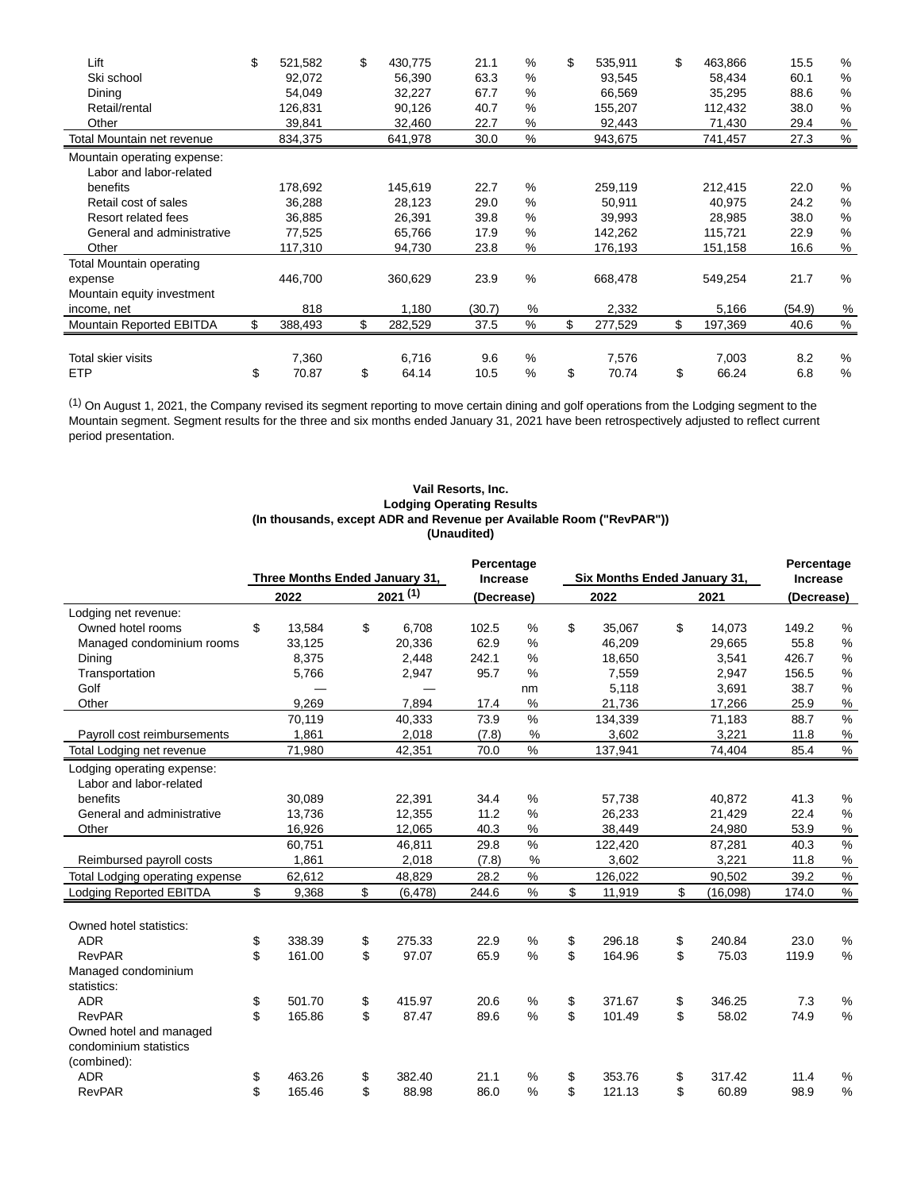| Lift                            | \$<br>521,582 | \$<br>430,775 | 21.1   | %    | \$<br>535,911 | \$<br>463,866 | 15.5   | %             |
|---------------------------------|---------------|---------------|--------|------|---------------|---------------|--------|---------------|
| Ski school                      | 92,072        | 56,390        | 63.3   | $\%$ | 93,545        | 58,434        | 60.1   | %             |
| Dining                          | 54,049        | 32,227        | 67.7   | %    | 66,569        | 35,295        | 88.6   | $\%$          |
| Retail/rental                   | 126,831       | 90,126        | 40.7   | %    | 155,207       | 112,432       | 38.0   | $\%$          |
| Other                           | 39,841        | 32,460        | 22.7   | %    | 92,443        | 71,430        | 29.4   | %             |
| Total Mountain net revenue      | 834,375       | 641,978       | 30.0   | %    | 943,675       | 741,457       | 27.3   | $\frac{0}{0}$ |
| Mountain operating expense:     |               |               |        |      |               |               |        |               |
| Labor and labor-related         |               |               |        |      |               |               |        |               |
| benefits                        | 178,692       | 145,619       | 22.7   | %    | 259,119       | 212,415       | 22.0   | %             |
| Retail cost of sales            | 36,288        | 28,123        | 29.0   | %    | 50,911        | 40.975        | 24.2   | $\%$          |
| Resort related fees             | 36,885        | 26,391        | 39.8   | %    | 39,993        | 28,985        | 38.0   | $\%$          |
| General and administrative      | 77,525        | 65,766        | 17.9   | %    | 142,262       | 115,721       | 22.9   | %             |
| Other                           | 117,310       | 94,730        | 23.8   | %    | 176,193       | 151,158       | 16.6   | $\%$          |
| <b>Total Mountain operating</b> |               |               |        |      |               |               |        |               |
| expense                         | 446,700       | 360,629       | 23.9   | $\%$ | 668,478       | 549,254       | 21.7   | %             |
| Mountain equity investment      |               |               |        |      |               |               |        |               |
| income, net                     | 818           | 1,180         | (30.7) | %    | 2,332         | 5,166         | (54.9) | %             |
| Mountain Reported EBITDA        | 388,493       | \$<br>282,529 | 37.5   | %    | \$<br>277,529 | \$<br>197,369 | 40.6   | $\%$          |
|                                 |               |               |        |      |               |               |        |               |
| Total skier visits              | 7,360         | 6,716         | 9.6    | %    | 7,576         | 7,003         | 8.2    | %             |
| <b>ETP</b>                      | \$<br>70.87   | \$<br>64.14   | 10.5   | %    | \$<br>70.74   | \$<br>66.24   | 6.8    | %             |

 $<sup>(1)</sup>$  On August 1, 2021, the Company revised its segment reporting to move certain dining and golf operations from the Lodging segment to the</sup> Mountain segment. Segment results for the three and six months ended January 31, 2021 have been retrospectively adjusted to reflect current period presentation.

#### **Vail Resorts, Inc. Lodging Operating Results (In thousands, except ADR and Revenue per Available Room ("RevPAR")) (Unaudited)**

|                                 | Three Months Ended January 31, |    | Percentage<br><b>Increase</b> |            | Six Months Ended January 31, |              | Percentage<br><b>Increase</b> |            |               |
|---------------------------------|--------------------------------|----|-------------------------------|------------|------------------------------|--------------|-------------------------------|------------|---------------|
|                                 | 2022                           |    | 2021(1)                       | (Decrease) |                              | 2022         | 2021                          | (Decrease) |               |
| Lodging net revenue:            |                                |    |                               |            |                              |              |                               |            |               |
| Owned hotel rooms               | \$<br>13,584                   | \$ | 6,708                         | 102.5      | %                            | \$<br>35,067 | \$<br>14,073                  | 149.2      | %             |
| Managed condominium rooms       | 33,125                         |    | 20,336                        | 62.9       | %                            | 46.209       | 29.665                        | 55.8       | %             |
| Dining                          | 8.375                          |    | 2.448                         | 242.1      | %                            | 18,650       | 3,541                         | 426.7      | %             |
| Transportation                  | 5,766                          |    | 2,947                         | 95.7       | %                            | 7.559        | 2,947                         | 156.5      | $\%$          |
| Golf                            |                                |    |                               |            | nm                           | 5,118        | 3,691                         | 38.7       | $\%$          |
| Other                           | 9,269                          |    | 7,894                         | 17.4       | %                            | 21,736       | 17,266                        | 25.9       | $\%$          |
|                                 | 70,119                         |    | 40,333                        | 73.9       | $\%$                         | 134,339      | 71,183                        | 88.7       | $\%$          |
| Payroll cost reimbursements     | 1,861                          |    | 2,018                         | (7.8)      | %                            | 3,602        | 3,221                         | 11.8       | %             |
| Total Lodging net revenue       | 71,980                         |    | 42,351                        | 70.0       | $\%$                         | 137,941      | 74,404                        | 85.4       | $\%$          |
| Lodging operating expense:      |                                |    |                               |            |                              |              |                               |            |               |
| Labor and labor-related         |                                |    |                               |            |                              |              |                               |            |               |
| benefits                        | 30.089                         |    | 22,391                        | 34.4       | %                            | 57.738       | 40.872                        | 41.3       | %             |
| General and administrative      | 13.736                         |    | 12,355                        | 11.2       | %                            | 26,233       | 21,429                        | 22.4       | %             |
| Other                           | 16,926                         |    | 12,065                        | 40.3       | %                            | 38,449       | 24,980                        | 53.9       | %             |
|                                 | 60,751                         |    | 46,811                        | 29.8       | $\%$                         | 122,420      | 87,281                        | 40.3       | %             |
| Reimbursed payroll costs        | 1,861                          |    | 2,018                         | (7.8)      | %                            | 3,602        | 3,221                         | 11.8       | %             |
| Total Lodging operating expense | 62,612                         |    | 48,829                        | 28.2       | $\%$                         | 126,022      | 90,502                        | 39.2       | $\%$          |
| <b>Lodging Reported EBITDA</b>  | \$<br>9,368                    | \$ | (6, 478)                      | 244.6      | $\%$                         | \$<br>11,919 | \$<br>(16,098)                | 174.0      | %             |
|                                 |                                |    |                               |            |                              |              |                               |            |               |
| Owned hotel statistics:         |                                |    |                               |            |                              |              |                               |            |               |
| <b>ADR</b>                      | \$<br>338.39                   | \$ | 275.33                        | 22.9       | %                            | \$<br>296.18 | \$<br>240.84                  | 23.0       | %             |
| <b>RevPAR</b>                   | \$<br>161.00                   | \$ | 97.07                         | 65.9       | %                            | \$<br>164.96 | \$<br>75.03                   | 119.9      | $\frac{0}{0}$ |
| Managed condominium             |                                |    |                               |            |                              |              |                               |            |               |
| statistics:                     |                                |    |                               |            |                              |              |                               |            |               |
| <b>ADR</b>                      | \$<br>501.70                   | \$ | 415.97                        | 20.6       | %                            | \$<br>371.67 | \$<br>346.25                  | 7.3        | %             |
| <b>RevPAR</b>                   | \$<br>165.86                   | \$ | 87.47                         | 89.6       | %                            | \$<br>101.49 | \$<br>58.02                   | 74.9       | $\frac{0}{0}$ |
| Owned hotel and managed         |                                |    |                               |            |                              |              |                               |            |               |
| condominium statistics          |                                |    |                               |            |                              |              |                               |            |               |
| (combined):                     |                                |    |                               |            |                              |              |                               |            |               |
| <b>ADR</b>                      | \$<br>463.26                   | \$ | 382.40                        | 21.1       | %                            | \$<br>353.76 | \$<br>317.42                  | 11.4       | %             |
| <b>RevPAR</b>                   | \$<br>165.46                   | \$ | 88.98                         | 86.0       | %                            | \$<br>121.13 | \$<br>60.89                   | 98.9       | %             |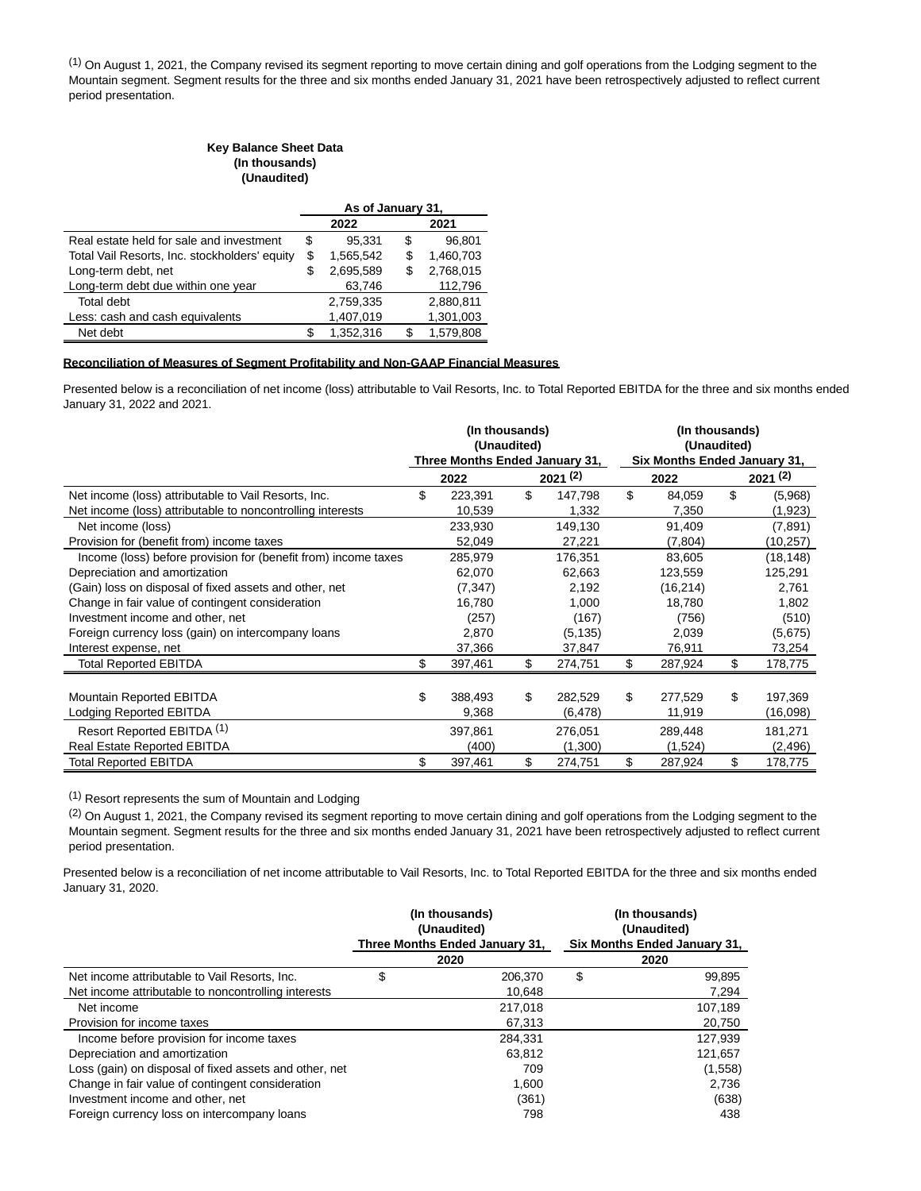(1) On August 1, 2021, the Company revised its segment reporting to move certain dining and golf operations from the Lodging segment to the Mountain segment. Segment results for the three and six months ended January 31, 2021 have been retrospectively adjusted to reflect current period presentation.

#### **Key Balance Sheet Data (In thousands) (Unaudited)**

|                                               | As of January 31, |           |    |           |  |
|-----------------------------------------------|-------------------|-----------|----|-----------|--|
|                                               |                   | 2022      |    | 2021      |  |
| Real estate held for sale and investment      | S                 | 95.331    | S  | 96.801    |  |
| Total Vail Resorts, Inc. stockholders' equity | \$                | 1.565.542 | S  | 1.460.703 |  |
| Long-term debt, net                           |                   | 2,695,589 |    | 2,768,015 |  |
| Long-term debt due within one year            |                   | 63,746    |    | 112,796   |  |
| Total debt                                    |                   | 2,759,335 |    | 2,880,811 |  |
| Less: cash and cash equivalents               |                   | 1,407,019 |    | 1,301,003 |  |
| Net debt                                      |                   | 1.352.316 | S. | 1.579.808 |  |

#### **Reconciliation of Measures of Segment Profitability and Non-GAAP Financial Measures**

Presented below is a reconciliation of net income (loss) attributable to Vail Resorts, Inc. to Total Reported EBITDA for the three and six months ended January 31, 2022 and 2021.

|                                                                | (In thousands)<br>(Unaudited) |                                |    |          |    | (In thousands)<br>(Unaudited) |    |           |  |  |
|----------------------------------------------------------------|-------------------------------|--------------------------------|----|----------|----|-------------------------------|----|-----------|--|--|
|                                                                |                               | Three Months Ended January 31, |    |          |    | Six Months Ended January 31,  |    |           |  |  |
|                                                                | 2021(2)<br>2022               |                                |    | 2022     |    | 2021(2)                       |    |           |  |  |
| Net income (loss) attributable to Vail Resorts, Inc.           | \$                            | 223,391                        | \$ | 147,798  | \$ | 84,059                        | \$ | (5,968)   |  |  |
| Net income (loss) attributable to noncontrolling interests     |                               | 10,539                         |    | 1,332    |    | 7,350                         |    | (1,923)   |  |  |
| Net income (loss)                                              |                               | 233,930                        |    | 149,130  |    | 91,409                        |    | (7,891)   |  |  |
| Provision for (benefit from) income taxes                      |                               | 52,049                         |    | 27,221   |    | (7,804)                       |    | (10, 257) |  |  |
| Income (loss) before provision for (benefit from) income taxes |                               | 285,979                        |    | 176,351  |    | 83,605                        |    | (18, 148) |  |  |
| Depreciation and amortization                                  |                               | 62,070                         |    | 62,663   |    | 123,559                       |    | 125,291   |  |  |
| (Gain) loss on disposal of fixed assets and other, net         |                               | (7, 347)                       |    | 2,192    |    | (16, 214)                     |    | 2,761     |  |  |
| Change in fair value of contingent consideration               |                               | 16,780                         |    | 1,000    |    | 18,780                        |    | 1,802     |  |  |
| Investment income and other, net                               |                               | (257)                          |    | (167)    |    | (756)                         |    | (510)     |  |  |
| Foreign currency loss (gain) on intercompany loans             |                               | 2,870                          |    | (5, 135) |    | 2,039                         |    | (5,675)   |  |  |
| Interest expense, net                                          |                               | 37,366                         |    | 37,847   |    | 76,911                        |    | 73,254    |  |  |
| <b>Total Reported EBITDA</b>                                   |                               | 397,461                        | \$ | 274,751  | \$ | 287,924                       | \$ | 178,775   |  |  |
|                                                                |                               |                                |    |          |    |                               |    |           |  |  |
| Mountain Reported EBITDA                                       | \$                            | 388.493                        | \$ | 282,529  | \$ | 277.529                       | \$ | 197,369   |  |  |
| Lodging Reported EBITDA                                        |                               | 9,368                          |    | (6, 478) |    | 11,919                        |    | (16,098)  |  |  |
| Resort Reported EBITDA <sup>(1)</sup>                          |                               | 397,861                        |    | 276,051  |    | 289,448                       |    | 181,271   |  |  |
| <b>Real Estate Reported EBITDA</b>                             |                               | (400)                          |    | (1,300)  |    | (1,524)                       |    | (2, 496)  |  |  |
| <b>Total Reported EBITDA</b>                                   | \$                            | 397,461                        | \$ | 274,751  | \$ | 287,924                       | \$ | 178,775   |  |  |

(1) Resort represents the sum of Mountain and Lodging

(2) On August 1, 2021, the Company revised its segment reporting to move certain dining and golf operations from the Lodging segment to the Mountain segment. Segment results for the three and six months ended January 31, 2021 have been retrospectively adjusted to reflect current period presentation.

Presented below is a reconciliation of net income attributable to Vail Resorts, Inc. to Total Reported EBITDA for the three and six months ended January 31, 2020.

|                                                        | (In thousands)<br>(Unaudited)  |      | (In thousands)<br>(Unaudited) |  |
|--------------------------------------------------------|--------------------------------|------|-------------------------------|--|
|                                                        | Three Months Ended January 31, |      | Six Months Ended January 31,  |  |
|                                                        | 2020                           | 2020 |                               |  |
| Net income attributable to Vail Resorts, Inc.          | \$<br>206.370                  | \$   | 99,895                        |  |
| Net income attributable to noncontrolling interests    | 10.648                         |      | 7,294                         |  |
| Net income                                             | 217.018                        |      | 107.189                       |  |
| Provision for income taxes                             | 67,313                         |      | 20,750                        |  |
| Income before provision for income taxes               | 284.331                        |      | 127.939                       |  |
| Depreciation and amortization                          | 63.812                         |      | 121,657                       |  |
| Loss (gain) on disposal of fixed assets and other, net | 709                            |      | (1,558)                       |  |
| Change in fair value of contingent consideration       | 1,600                          |      | 2,736                         |  |
| Investment income and other, net                       | (361)                          |      | (638)                         |  |
| Foreign currency loss on intercompany loans            | 798                            |      | 438                           |  |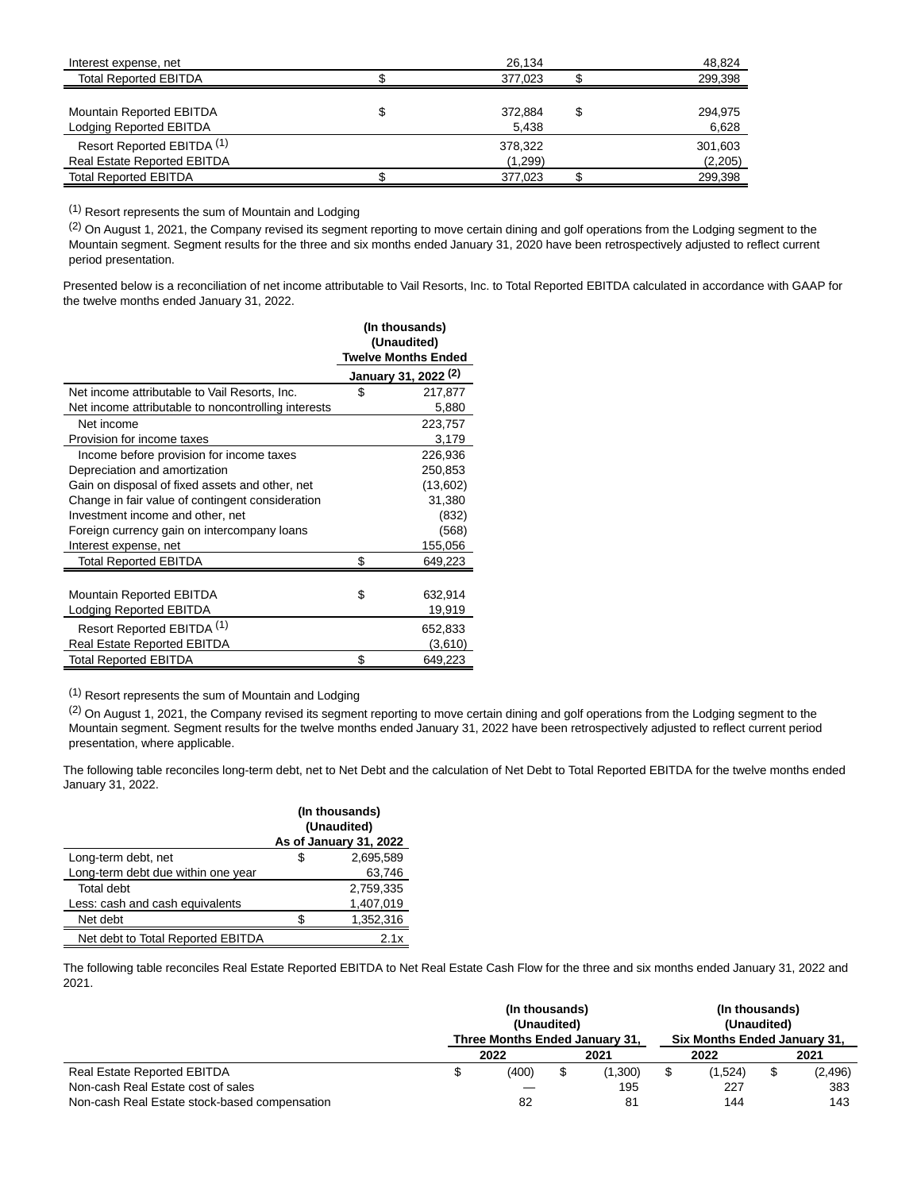| Interest expense, net                 | 26.134  | 48.824        |
|---------------------------------------|---------|---------------|
| <b>Total Reported EBITDA</b>          | 377.023 | 299,398       |
|                                       |         |               |
| Mountain Reported EBITDA              | 372.884 | \$<br>294.975 |
| Lodging Reported EBITDA               | 5,438   | 6,628         |
| Resort Reported EBITDA <sup>(1)</sup> | 378.322 | 301,603       |
| <b>Real Estate Reported EBITDA</b>    | (1,299) | (2,205)       |
| <b>Total Reported EBITDA</b>          | 377.023 | 299,398       |

(1) Resort represents the sum of Mountain and Lodging

(2) On August 1, 2021, the Company revised its segment reporting to move certain dining and golf operations from the Lodging segment to the Mountain segment. Segment results for the three and six months ended January 31, 2020 have been retrospectively adjusted to reflect current period presentation.

Presented below is a reconciliation of net income attributable to Vail Resorts, Inc. to Total Reported EBITDA calculated in accordance with GAAP for the twelve months ended January 31, 2022.

|                                                     | (In thousands)                  |
|-----------------------------------------------------|---------------------------------|
|                                                     | (Unaudited)                     |
|                                                     | <b>Twelve Months Ended</b>      |
|                                                     | January 31, 2022 <sup>(2)</sup> |
| Net income attributable to Vail Resorts, Inc.       | \$<br>217,877                   |
| Net income attributable to noncontrolling interests | 5,880                           |
| Net income                                          | 223,757                         |
| Provision for income taxes                          | 3,179                           |
| Income before provision for income taxes            | 226,936                         |
| Depreciation and amortization                       | 250,853                         |
| Gain on disposal of fixed assets and other, net     | (13,602)                        |
| Change in fair value of contingent consideration    | 31,380                          |
| Investment income and other, net                    | (832)                           |
| Foreign currency gain on intercompany loans         | (568)                           |
| Interest expense, net                               | 155,056                         |
| Total Reported EBITDA                               | \$<br>649,223                   |
|                                                     |                                 |
| Mountain Reported EBITDA                            | \$<br>632,914                   |
| Lodging Reported EBITDA                             | 19,919                          |
| Resort Reported EBITDA <sup>(1)</sup>               | 652,833                         |
| <b>Real Estate Reported EBITDA</b>                  | (3,610)                         |
| <b>Total Reported EBITDA</b>                        | \$<br>649,223                   |

(1) Resort represents the sum of Mountain and Lodging

(2) On August 1, 2021, the Company revised its segment reporting to move certain dining and golf operations from the Lodging segment to the Mountain segment. Segment results for the twelve months ended January 31, 2022 have been retrospectively adjusted to reflect current period presentation, where applicable.

The following table reconciles long-term debt, net to Net Debt and the calculation of Net Debt to Total Reported EBITDA for the twelve months ended January 31, 2022.

|                                    | (In thousands)<br>(Unaudited)<br>As of January 31, 2022 |           |  |  |  |
|------------------------------------|---------------------------------------------------------|-----------|--|--|--|
| Long-term debt, net                | S                                                       | 2,695,589 |  |  |  |
| Long-term debt due within one year |                                                         | 63,746    |  |  |  |
| Total debt                         |                                                         | 2.759.335 |  |  |  |
| Less: cash and cash equivalents    |                                                         | 1,407,019 |  |  |  |
| Net debt                           |                                                         | 1,352,316 |  |  |  |
| Net debt to Total Reported EBITDA  |                                                         | 2.1x      |  |  |  |

The following table reconciles Real Estate Reported EBITDA to Net Real Estate Cash Flow for the three and six months ended January 31, 2022 and 2021.

|                                               | (In thousands)<br>(Unaudited)<br>Three Months Ended January 31. |              |  | (In thousands)<br>(Unaudited)<br>Six Months Ended January 31, |  |         |  |          |
|-----------------------------------------------|-----------------------------------------------------------------|--------------|--|---------------------------------------------------------------|--|---------|--|----------|
|                                               |                                                                 | 2021<br>2022 |  | 2022                                                          |  | 2021    |  |          |
| <b>Real Estate Reported EBITDA</b>            |                                                                 | (400)        |  | (1.300)                                                       |  | (1.524) |  | (2, 496) |
| Non-cash Real Estate cost of sales            |                                                                 |              |  | 195                                                           |  | 227     |  | 383      |
| Non-cash Real Estate stock-based compensation |                                                                 | 82           |  | 81                                                            |  | 144     |  | 143      |